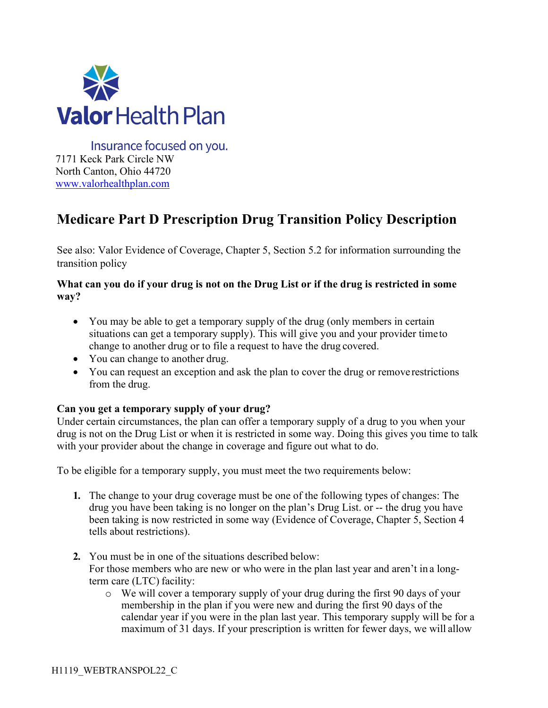

Insurance focused on you. 7171 Keck Park Circle NW North Canton, Ohio 44720 [www.valorhealthplan.com](http://www.valorhealthplan.com/)

# **Medicare Part D Prescription Drug Transition Policy Description**

See also: Valor Evidence of Coverage, Chapter 5, Section 5.2 for information surrounding the transition policy

## **What can you do if your drug is not on the Drug List or if the drug is restricted in some way?**

- You may be able to get a temporary supply of the drug (only members in certain situations can get a temporary supply). This will give you and your provider timeto change to another drug or to file a request to have the drug covered.
- You can change to another drug.
- You can request an exception and ask the plan to cover the drug or remove restrictions from the drug.

## **Can you get a temporary supply of your drug?**

Under certain circumstances, the plan can offer a temporary supply of a drug to you when your drug is not on the Drug List or when it is restricted in some way. Doing this gives you time to talk with your provider about the change in coverage and figure out what to do.

To be eligible for a temporary supply, you must meet the two requirements below:

- **1.** The change to your drug coverage must be one of the following types of changes: The drug you have been taking is no longer on the plan's Drug List. or -- the drug you have been taking is now restricted in some way (Evidence of Coverage, Chapter 5, Section 4 tells about restrictions).
- **2.** You must be in one of the situations described below: For those members who are new or who were in the plan last year and aren't in a longterm care (LTC) facility:
	- o We will cover a temporary supply of your drug during the first 90 days of your membership in the plan if you were new and during the first 90 days of the calendar year if you were in the plan last year. This temporary supply will be for a maximum of 31 days. If your prescription is written for fewer days, we will allow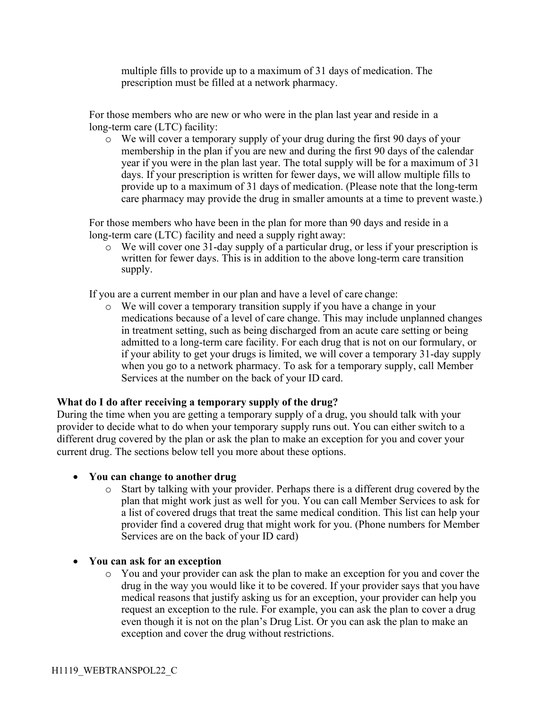multiple fills to provide up to a maximum of 31 days of medication. The prescription must be filled at a network pharmacy.

For those members who are new or who were in the plan last year and reside in a long-term care (LTC) facility:

o We will cover a temporary supply of your drug during the first 90 days of your membership in the plan if you are new and during the first 90 days of the calendar year if you were in the plan last year. The total supply will be for a maximum of 31 days. If your prescription is written for fewer days, we will allow multiple fills to provide up to a maximum of 31 days of medication. (Please note that the long-term care pharmacy may provide the drug in smaller amounts at a time to prevent waste.)

For those members who have been in the plan for more than 90 days and reside in a long-term care (LTC) facility and need a supply right away:

o We will cover one 31-day supply of a particular drug, or less if your prescription is written for fewer days. This is in addition to the above long-term care transition supply.

If you are a current member in our plan and have a level of care change:

o We will cover a temporary transition supply if you have a change in your medications because of a level of care change. This may include unplanned changes in treatment setting, such as being discharged from an acute care setting or being admitted to a long-term care facility. For each drug that is not on our formulary, or if your ability to get your drugs is limited, we will cover a temporary 31-day supply when you go to a network pharmacy. To ask for a temporary supply, call Member Services at the number on the back of your ID card.

### **What do I do after receiving a temporary supply of the drug?**

During the time when you are getting a temporary supply of a drug, you should talk with your provider to decide what to do when your temporary supply runs out. You can either switch to a different drug covered by the plan or ask the plan to make an exception for you and cover your current drug. The sections below tell you more about these options.

### • **You can change to another drug**

- o Start by talking with your provider. Perhaps there is a different drug covered by the plan that might work just as well for you. You can call Member Services to ask for a list of covered drugs that treat the same medical condition. This list can help your provider find a covered drug that might work for you. (Phone numbers for Member Services are on the back of your ID card)
- **You can ask for an exception**
	- o You and your provider can ask the plan to make an exception for you and cover the drug in the way you would like it to be covered. If your provider says that you have medical reasons that justify asking us for an exception, your provider can help you request an exception to the rule. For example, you can ask the plan to cover a drug even though it is not on the plan's Drug List. Or you can ask the plan to make an exception and cover the drug without restrictions.